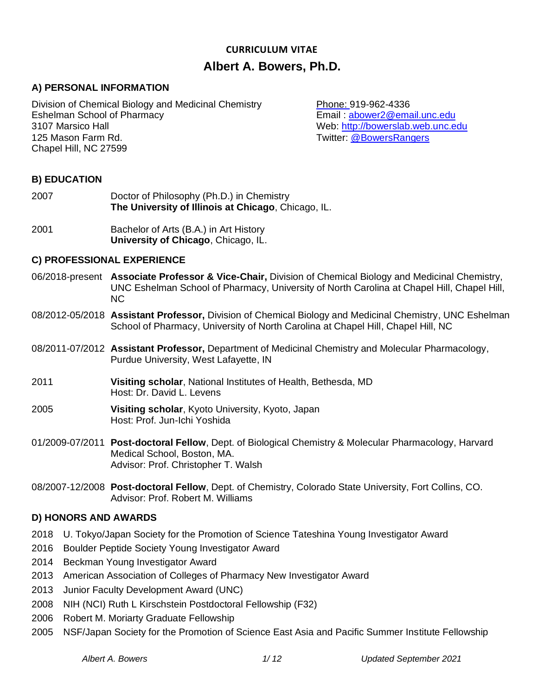# **CURRICULUM VITAE Albert A. Bowers, Ph.D.**

### **A) PERSONAL INFORMATION**

Division of Chemical Biology and Medicinal Chemistry Phone: 919-962-4336 Eshelman School of Pharmacy Email : [abower2@email.unc.edu](mailto:abower2@email.unc.edu) 3107 Marsico Hall Web: [http://bowerslab.web.unc.edu](http://bowerslab.web.unc.edu/) 125 Mason Farm Rd. Twitter: [@BowersRangers](https://twitter.com/BowersRangers) Chapel Hill, NC 27599

### **B) EDUCATION**

- 2007 Doctor of Philosophy (Ph.D.) in Chemistry **The University of Illinois at Chicago**, Chicago, IL.
- 2001 Bachelor of Arts (B.A.) in Art History **University of Chicago**, Chicago, IL.

#### **C) PROFESSIONAL EXPERIENCE**

- 06/2018-present **Associate Professor & Vice-Chair,** Division of Chemical Biology and Medicinal Chemistry, UNC Eshelman School of Pharmacy, University of North Carolina at Chapel Hill, Chapel Hill, NC
- 08/2012-05/2018 **Assistant Professor,** Division of Chemical Biology and Medicinal Chemistry, UNC Eshelman School of Pharmacy, University of North Carolina at Chapel Hill, Chapel Hill, NC
- 08/2011-07/2012 **Assistant Professor,** Department of Medicinal Chemistry and Molecular Pharmacology, Purdue University, West Lafayette, IN
- 2011 **Visiting scholar**, National Institutes of Health, Bethesda, MD Host: Dr. David L. Levens
- 2005 **Visiting scholar**, Kyoto University, Kyoto, Japan Host: Prof. Jun-Ichi Yoshida
- 01/2009-07/2011 **Post-doctoral Fellow**, Dept. of Biological Chemistry & Molecular Pharmacology, Harvard Medical School, Boston, MA. Advisor: Prof. Christopher T. Walsh
- 08/2007-12/2008 **Post-doctoral Fellow**, Dept. of Chemistry, Colorado State University, Fort Collins, CO. Advisor: Prof. Robert M. Williams

### **D) HONORS AND AWARDS**

- 2018 U. Tokyo/Japan Society for the Promotion of Science Tateshina Young Investigator Award
- 2016 Boulder Peptide Society Young Investigator Award
- 2014 Beckman Young Investigator Award
- 2013 American Association of Colleges of Pharmacy New Investigator Award
- 2013 Junior Faculty Development Award (UNC)
- 2008 NIH (NCI) Ruth L Kirschstein Postdoctoral Fellowship (F32)
- 2006 Robert M. Moriarty Graduate Fellowship
- 2005 NSF/Japan Society for the Promotion of Science East Asia and Pacific Summer Institute Fellowship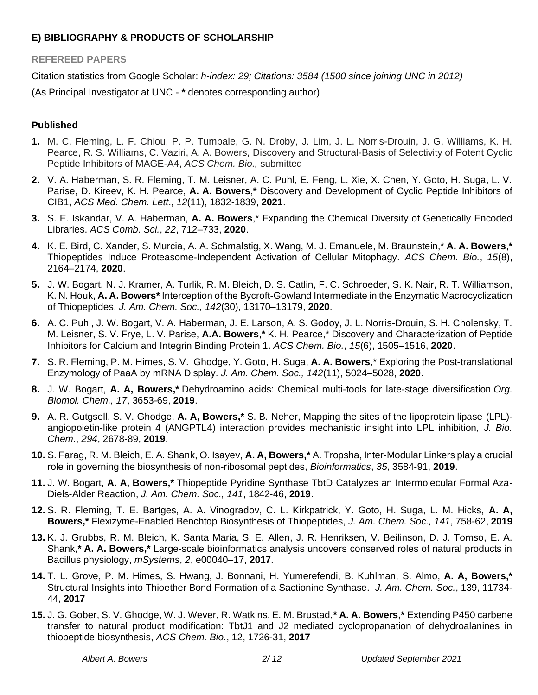### **E) BIBLIOGRAPHY & PRODUCTS OF SCHOLARSHIP**

### **REFEREED PAPERS**

Citation statistics from Google Scholar: *h-index: 29; Citations: 3584 (1500 since joining UNC in 2012)*

(As Principal Investigator at UNC - **\*** denotes corresponding author)

### **Published**

- **1.** M. C. Fleming, L. F. Chiou, P. P. Tumbale, G. N. Droby, J. Lim, J. L. Norris-Drouin, J. G. Williams, K. H. Pearce, R. S. Williams, C. Vaziri, A. A. Bowers, Discovery and Structural-Basis of Selectivity of Potent Cyclic Peptide Inhibitors of MAGE-A4, *ACS Chem. Bio.,* submitted
- **2.** V. A. Haberman, S. R. Fleming, T. M. Leisner, A. C. Puhl, E. Feng, L. Xie, X. Chen, Y. Goto, H. Suga, L. V. Parise, D. Kireev, K. H. Pearce, **A. A. Bowers**,**\*** Discovery and Development of Cyclic Peptide Inhibitors of CIB1**,** *ACS Med. Chem. Lett*., *12*(11), 1832-1839, **2021**.
- **3.** S. E. Iskandar, V. A. Haberman, **A. A. Bowers**,\* Expanding the Chemical Diversity of Genetically Encoded Libraries. *ACS Comb. Sci.*, *22*, 712–733, **2020**.
- **4.** K. E. Bird, C. Xander, S. Murcia, A. A. Schmalstig, X. Wang, M. J. Emanuele, M. Braunstein,\* **A. A. Bowers**,**\*** Thiopeptides Induce Proteasome-Independent Activation of Cellular Mitophagy. *ACS Chem. Bio.*, *15*(8), 2164–2174, **2020**.
- **5.** J. W. Bogart, N. J. Kramer, A. Turlik, R. M. Bleich, D. S. Catlin, F. C. Schroeder, S. K. Nair, R. T. Williamson, K. N. Houk, **A. A. Bowers\*** Interception of the Bycroft-Gowland Intermediate in the Enzymatic Macrocyclization of Thiopeptides. *J. Am. Chem. Soc., 142*(30), 13170–13179, **2020**.
- **6.** A. C. Puhl, J. W. Bogart, V. A. Haberman, J. E. Larson, A. S. Godoy, J. L. Norris-Drouin, S. H. Cholensky, T. M. Leisner, S. V. Frye, L. V. Parise, **A.A. Bowers**,**\*** K. H. Pearce,\* Discovery and Characterization of Peptide Inhibitors for Calcium and Integrin Binding Protein 1. *ACS Chem. Bio.*, *15*(6), 1505–1516, **2020**.
- **7.** S. R. Fleming, P. M. Himes, S. V. Ghodge, Y. Goto, H. Suga, **A. A. Bowers**,\* Exploring the Post-translational Enzymology of PaaA by mRNA Display. *J. Am. Chem. Soc., 142*(11), 5024–5028, **2020**.
- **8.** J. W. Bogart, **A. A, Bowers,\*** Dehydroamino acids: Chemical multi-tools for late-stage diversification *Org. Biomol. Chem., 17*, 3653-69, **2019**.
- **9.** A. R. Gutgsell, S. V. Ghodge, **A. A, Bowers,\*** S. B. Neher, Mapping the sites of the lipoprotein lipase (LPL) angiopoietin-like protein 4 (ANGPTL4) interaction provides mechanistic insight into LPL inhibition, *J. Bio. Chem.*, *294*, 2678-89, **2019**.
- **10.** S. Farag, R. M. Bleich, E. A. Shank, O. Isayev, **A. A, Bowers,\*** A. Tropsha, Inter-Modular Linkers play a crucial role in governing the biosynthesis of non-ribosomal peptides, *Bioinformatics*, *35*, 3584-91, **2019**.
- **11.** J. W. Bogart, **A. A, Bowers,\*** Thiopeptide Pyridine Synthase TbtD Catalyzes an Intermolecular Formal Aza-Diels-Alder Reaction, *J. Am. Chem. Soc., 141*, 1842-46, **2019**.
- **12.** S. R. Fleming, T. E. Bartges, A. A. Vinogradov, C. L. Kirkpatrick, Y. Goto, H. Suga, L. M. Hicks, **A. A, Bowers,\*** Flexizyme-Enabled Benchtop Biosynthesis of Thiopeptides, *J. Am. Chem. Soc., 141*, 758-62, **2019**
- **13.** K. J. Grubbs, R. M. Bleich, K. Santa Maria, S. E. Allen, J. R. Henriksen, V. Beilinson, D. J. Tomso, E. A. Shank,**\* A. A. Bowers,\*** Large-scale bioinformatics analysis uncovers conserved roles of natural products in Bacillus physiology, *mSystems*, *2*, e00040–17, **2017**.
- **14.** T. L. Grove, P. M. Himes, S. Hwang, J. Bonnani, H. Yumerefendi, B. Kuhlman, S. Almo, **A. A, Bowers,\*** Structural Insights into Thioether Bond Formation of a Sactionine Synthase. *J. Am. Chem. Soc.*, 139, 11734- 44, **2017**
- **15.** J. G. Gober, S. V. Ghodge, W. J. Wever, R. Watkins, E. M. Brustad,**\* A. A. Bowers,\*** Extending P450 carbene transfer to natural product modification: TbtJ1 and J2 mediated cyclopropanation of dehydroalanines in thiopeptide biosynthesis, *ACS Chem. Bio.*, 12, 1726-31, **2017**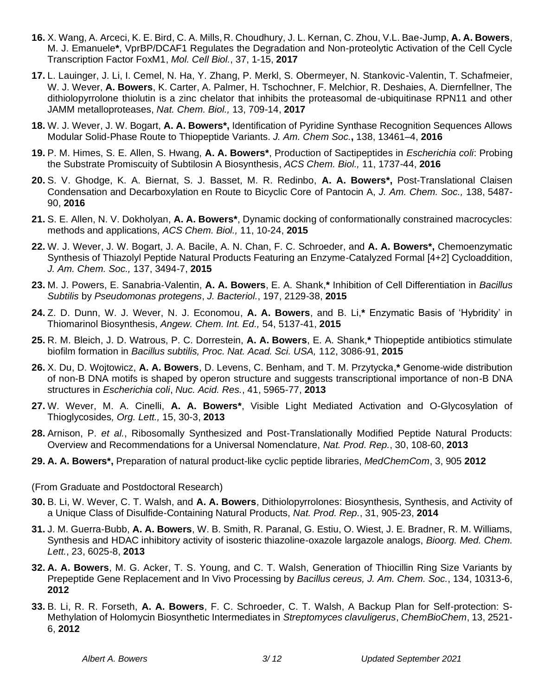- **16.** X. Wang, A. Arceci, K. E. Bird, C. A. Mills, R. Choudhury, J. L. Kernan, C. Zhou, V.L. Bae-Jump, **A. A. Bowers**, M. J. Emanuele**\***, VprBP/DCAF1 Regulates the Degradation and Non-proteolytic Activation of the Cell Cycle Transcription Factor FoxM1, *Mol. Cell Biol.*, 37, 1-15, **2017**
- **17.** L. Lauinger, J. Li, I. Cemel, N. Ha, Y. Zhang, P. Merkl, S. Obermeyer, N. Stankovic-Valentin, T. Schafmeier, W. J. Wever, **A. Bowers**, K. Carter, A. Palmer, H. Tschochner, F. Melchior, R. Deshaies, A. Diernfellner, The dithiolopyrrolone thiolutin is a zinc chelator that inhibits the proteasomal de-ubiquitinase RPN11 and other JAMM metalloproteases, *Nat. Chem. Biol.,* 13, 709-14, **2017**
- **18.** W. J. Wever, J. W. Bogart, **A. A. Bowers\*,** Identification of Pyridine Synthase Recognition Sequences Allows Modular Solid-Phase Route to Thiopeptide Variants. *J. Am. Chem Soc.***,** 138, 13461–4, **2016**
- **19.** P. M. Himes, S. E. Allen, S. Hwang, **A. A. Bowers\***, Production of Sactipeptides in *Escherichia coli*: Probing the Substrate Promiscuity of Subtilosin A Biosynthesis, *ACS Chem. Biol.,* 11, 1737-44, **2016**
- **20.** S. V. Ghodge, K. A. Biernat, S. J. Basset, M. R. Redinbo, **A. A. Bowers\*,** Post-Translational Claisen Condensation and Decarboxylation en Route to Bicyclic Core of Pantocin A, *J. Am. Chem. Soc.,* 138, 5487- 90, **2016**
- **21.** S. E. Allen, N. V. Dokholyan, **A. A. Bowers\***, Dynamic docking of conformationally constrained macrocycles: methods and applications, *ACS Chem. Biol.,* 11, 10-24, **2015**
- **22.** W. J. Wever, J. W. Bogart, J. A. Bacile, A. N. Chan, F. C. Schroeder, and **A. A. Bowers\*,** Chemoenzymatic Synthesis of Thiazolyl Peptide Natural Products Featuring an Enzyme-Catalyzed Formal [4+2] Cycloaddition, *J. Am. Chem. Soc.,* 137, 3494-7, **2015**
- **23.** M. J. Powers, E. Sanabria-Valentin, **A. A. Bowers**, E. A. Shank,**\*** Inhibition of Cell Differentiation in *Bacillus Subtilis* by *Pseudomonas protegens*, *J. Bacteriol.*, 197, 2129-38, **2015**
- **24.** Z. D. Dunn, W. J. Wever, N. J. Economou, **A. A. Bowers**, and B. Li,**\*** Enzymatic Basis of 'Hybridity' in Thiomarinol Biosynthesis, *Angew. Chem. Int. Ed.,* 54, 5137-41, **2015**
- **25.** R. M. Bleich, J. D. Watrous, P. C. Dorrestein, **A. A. Bowers**, E. A. Shank,**\*** Thiopeptide antibiotics stimulate biofilm formation in *Bacillus subtilis, Proc. Nat. Acad. Sci. USA,* 112, 3086-91, **2015**
- **26.** X. Du, D. Wojtowicz, **A. A. Bowers**, D. Levens, C. Benham, and T. M. Przytycka,**\*** Genome-wide distribution of non-B DNA motifs is shaped by operon structure and suggests transcriptional importance of non-B DNA structures in *Escherichia coli*, *Nuc. Acid. Res.*, 41, 5965-77, **2013**
- **27.** W. Wever, M. A. Cinelli, **A. A. Bowers\***, Visible Light Mediated Activation and O-Glycosylation of Thioglycosides*, Org. Lett.,* 15, 30-3, **2013**
- **28.** Arnison, P. *et al.*, Ribosomally Synthesized and Post-Translationally Modified Peptide Natural Products: Overview and Recommendations for a Universal Nomenclature, *Nat. Prod. Rep.*, 30, 108-60, **2013**
- **29. A. A. Bowers\*,** Preparation of natural product-like cyclic peptide libraries, *MedChemCom*, 3, 905 **2012**
- (From Graduate and Postdoctoral Research)
- **30.** B. Li, W. Wever, C. T. Walsh, and **A. A. Bowers**, Dithiolopyrrolones: Biosynthesis, Synthesis, and Activity of a Unique Class of Disulfide-Containing Natural Products, *Nat. Prod. Rep.*, 31, 905-23, **2014**
- **31.** J. M. Guerra-Bubb, **A. A. Bowers**, W. B. Smith, R. Paranal, G. Estiu, O. Wiest, J. E. Bradner, R. M. Williams, Synthesis and HDAC inhibitory activity of isosteric thiazoline-oxazole largazole analogs, *Bioorg. Med. Chem. Lett.*, 23, 6025-8, **2013**
- **32. A. A. Bowers**, M. G. Acker, T. S. Young, and C. T. Walsh, Generation of Thiocillin Ring Size Variants by Prepeptide Gene Replacement and In Vivo Processing by *Bacillus cereus, J. Am. Chem. Soc.*, 134, 10313-6, **2012**
- **33.** B. Li, R. R. Forseth, **A. A. Bowers**, F. C. Schroeder, C. T. Walsh, A Backup Plan for Self-protection: S-Methylation of Holomycin Biosynthetic Intermediates in *Streptomyces clavuligerus*, *ChemBioChem*, 13, 2521- 6, **2012**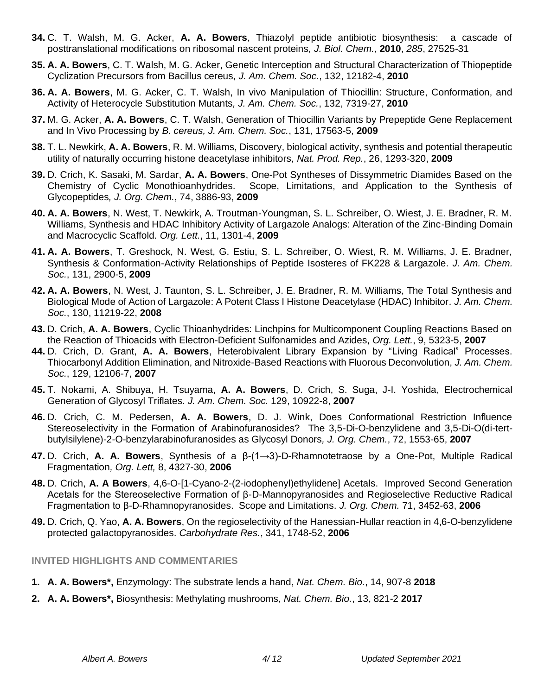- **34.** C. T. Walsh, M. G. Acker, **A. A. Bowers**, Thiazolyl peptide antibiotic biosynthesis: a cascade of posttranslational modifications on ribosomal nascent proteins, *J. Biol. Chem.*, **2010**, *285*, 27525-31
- **35. A. A. Bowers**, C. T. Walsh, M. G. Acker, Genetic Interception and Structural Characterization of Thiopeptide Cyclization Precursors from Bacillus cereus*, J. Am. Chem. Soc.*, 132, 12182-4, **2010**
- **36. A. A. Bowers**, M. G. Acker, C. T. Walsh, In vivo Manipulation of Thiocillin: Structure, Conformation, and Activity of Heterocycle Substitution Mutants*, J. Am. Chem. Soc.*, 132, 7319-27, **2010**
- **37.** M. G. Acker, **A. A. Bowers**, C. T. Walsh, Generation of Thiocillin Variants by Prepeptide Gene Replacement and In Vivo Processing by *B. cereus, J. Am. Chem. Soc.*, 131, 17563-5, **2009**
- **38.** T. L. Newkirk, **A. A. Bowers**, R. M. Williams, Discovery, biological activity, synthesis and potential therapeutic utility of naturally occurring histone deacetylase inhibitors, *Nat. Prod. Rep.*, 26, 1293-320, **2009**
- **39.** D. Crich, K. Sasaki, M. Sardar, **A. A. Bowers**, One-Pot Syntheses of Dissymmetric Diamides Based on the Chemistry of Cyclic Monothioanhydrides. Scope, Limitations, and Application to the Synthesis of Glycopeptides*, J. Org. Chem.*, 74, 3886-93, **2009**
- **40. A. A. Bowers**, N. West, T. Newkirk, A. Troutman-Youngman, S. L. Schreiber, O. Wiest, J. E. Bradner, R. M. Williams, Synthesis and HDAC Inhibitory Activity of Largazole Analogs: Alteration of the Zinc-Binding Domain and Macrocyclic Scaffold*. Org. Lett.*, 11, 1301-4, **2009**
- **41. A. A. Bowers**, T. Greshock, N. West, G. Estiu, S. L. Schreiber, O. Wiest, R. M. Williams, J. E. Bradner, Synthesis & Conformation-Activity Relationships of Peptide Isosteres of FK228 & Largazole*. J. Am. Chem. Soc.*, 131, 2900-5, **2009**
- **42. A. A. Bowers**, N. West, J. Taunton, S. L. Schreiber, J. E. Bradner, R. M. Williams, The Total Synthesis and Biological Mode of Action of Largazole: A Potent Class I Histone Deacetylase (HDAC) Inhibitor*. J. Am. Chem. Soc.*, 130, 11219-22, **2008**
- **43.** D. Crich, **A. A. Bowers**, Cyclic Thioanhydrides: Linchpins for Multicomponent Coupling Reactions Based on the Reaction of Thioacids with Electron-Deficient Sulfonamides and Azides, *Org. Lett.*, 9, 5323-5, **2007**
- **44.** D. Crich, D. Grant, **A. A. Bowers**, Heterobivalent Library Expansion by "Living Radical" Processes. Thiocarbonyl Addition Elimination, and Nitroxide-Based Reactions with Fluorous Deconvolution, *J. Am. Chem. Soc.*, 129, 12106-7, **2007**
- **45.** T. Nokami, A. Shibuya, H. Tsuyama, **A. A. Bowers**, D. Crich, S. Suga, J-I. Yoshida, Electrochemical Generation of Glycosyl Triflates. *J. Am. Chem. Soc.* 129, 10922-8, **2007**
- **46.** D. Crich, C. M. Pedersen, **A. A. Bowers**, D. J. Wink, Does Conformational Restriction Influence Stereoselectivity in the Formation of Arabinofuranosides? The 3,5-Di-O-benzylidene and 3,5-Di-O(di-tertbutylsilylene)-2-O-benzylarabinofuranosides as Glycosyl Donors*, J. Org. Chem.*, 72, 1553-65, **2007**
- **47.** D. Crich, **A. A. Bowers**, Synthesis of a β-(1→3)-D-Rhamnotetraose by a One-Pot, Multiple Radical Fragmentation*, Org. Lett,* 8, 4327-30, **2006**
- **48.** D. Crich, **A. A Bowers**, 4,6-O-[1-Cyano-2-(2-iodophenyl)ethylidene] Acetals. Improved Second Generation Acetals for the Stereoselective Formation of β-D-Mannopyranosides and Regioselective Reductive Radical Fragmentation to β-D-Rhamnopyranosides. Scope and Limitations. *J. Org. Chem.* 71, 3452-63, **2006**
- **49.** D. Crich, Q. Yao, **A. A. Bowers**, On the regioselectivity of the Hanessian-Hullar reaction in 4,6-O-benzylidene protected galactopyranosides. *Carbohydrate Res.*, 341, 1748-52, **2006**

#### **INVITED HIGHLIGHTS AND COMMENTARIES**

- **1. A. A. Bowers\*,** Enzymology: The substrate lends a hand, *Nat. Chem. Bio.*, 14, 907-8 **2018**
- **2. A. A. Bowers\*,** Biosynthesis: Methylating mushrooms, *Nat. Chem. Bio.*, 13, 821-2 **2017**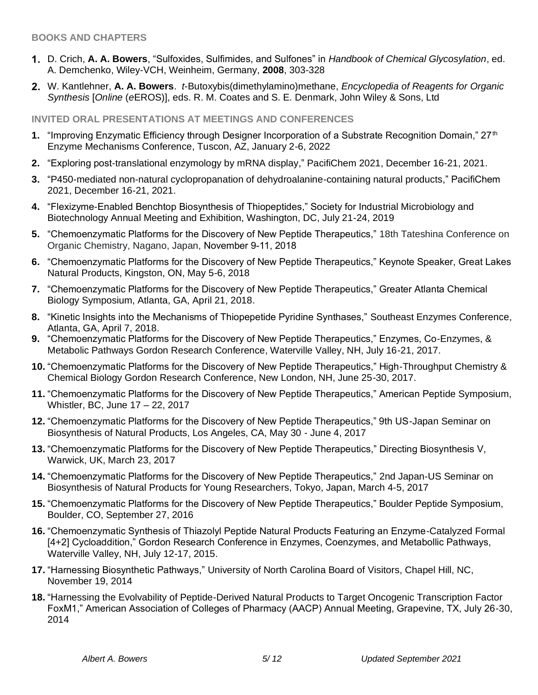### **BOOKS AND CHAPTERS**

- D. Crich, **A. A. Bowers**, "Sulfoxides, Sulfimides, and Sulfones" in *Handbook of Chemical Glycosylation*, ed. A. Demchenko, Wiley-VCH, Weinheim, Germany, **2008**, 303-328
- W. Kantlehner, **A. A. Bowers**. *t*-Butoxybis(dimethylamino)methane, *Encyclopedia of Reagents for Organic Synthesis* [*Online* (*e*EROS)], eds. R. M. Coates and S. E. Denmark, John Wiley & Sons, Ltd

### **INVITED ORAL PRESENTATIONS AT MEETINGS AND CONFERENCES**

- **1.** "Improving Enzymatic Efficiency through Designer Incorporation of a Substrate Recognition Domain," 27<sup>th</sup> Enzyme Mechanisms Conference, Tuscon, AZ, January 2-6, 2022
- **2.** "Exploring post-translational enzymology by mRNA display," PacifiChem 2021, December 16-21, 2021.
- **3.** "P450-mediated non-natural cyclopropanation of dehydroalanine-containing natural products," PacifiChem 2021, December 16-21, 2021.
- **4.** "Flexizyme-Enabled Benchtop Biosynthesis of Thiopeptides," Society for Industrial Microbiology and Biotechnology Annual Meeting and Exhibition, Washington, DC, July 21-24, 2019
- **5.** "Chemoenzymatic Platforms for the Discovery of New Peptide Therapeutics," 18th Tateshina Conference on Organic Chemistry, Nagano, Japan, November 9-11, 2018
- **6.** "Chemoenzymatic Platforms for the Discovery of New Peptide Therapeutics," Keynote Speaker, Great Lakes Natural Products, Kingston, ON, May 5-6, 2018
- **7.** "Chemoenzymatic Platforms for the Discovery of New Peptide Therapeutics," Greater Atlanta Chemical Biology Symposium, Atlanta, GA, April 21, 2018.
- **8.** "Kinetic Insights into the Mechanisms of Thiopepetide Pyridine Synthases," Southeast Enzymes Conference, Atlanta, GA, April 7, 2018.
- **9.** "Chemoenzymatic Platforms for the Discovery of New Peptide Therapeutics," Enzymes, Co-Enzymes, & Metabolic Pathways Gordon Research Conference, Waterville Valley, NH, July 16-21, 2017.
- **10.** "Chemoenzymatic Platforms for the Discovery of New Peptide Therapeutics," High-Throughput Chemistry & Chemical Biology Gordon Research Conference, New London, NH, June 25-30, 2017.
- **11.** "Chemoenzymatic Platforms for the Discovery of New Peptide Therapeutics," American Peptide Symposium, Whistler, BC, June 17 – 22, 2017
- **12.** "Chemoenzymatic Platforms for the Discovery of New Peptide Therapeutics," 9th US-Japan Seminar on Biosynthesis of Natural Products, Los Angeles, CA, May 30 - June 4, 2017
- **13.** "Chemoenzymatic Platforms for the Discovery of New Peptide Therapeutics," Directing Biosynthesis V, Warwick, UK, March 23, 2017
- **14.** "Chemoenzymatic Platforms for the Discovery of New Peptide Therapeutics," 2nd Japan-US Seminar on Biosynthesis of Natural Products for Young Researchers, Tokyo, Japan, March 4-5, 2017
- **15.** "Chemoenzymatic Platforms for the Discovery of New Peptide Therapeutics," Boulder Peptide Symposium, Boulder, CO, September 27, 2016
- **16.** "Chemoenzymatic Synthesis of Thiazolyl Peptide Natural Products Featuring an Enzyme-Catalyzed Formal [4+2] Cycloaddition," Gordon Research Conference in Enzymes, Coenzymes, and Metabollic Pathways, Waterville Valley, NH, July 12-17, 2015.
- **17.** "Harnessing Biosynthetic Pathways," University of North Carolina Board of Visitors, Chapel Hill, NC, November 19, 2014
- **18.** "Harnessing the Evolvability of Peptide-Derived Natural Products to Target Oncogenic Transcription Factor FoxM1," American Association of Colleges of Pharmacy (AACP) Annual Meeting, Grapevine, TX, July 26-30, 2014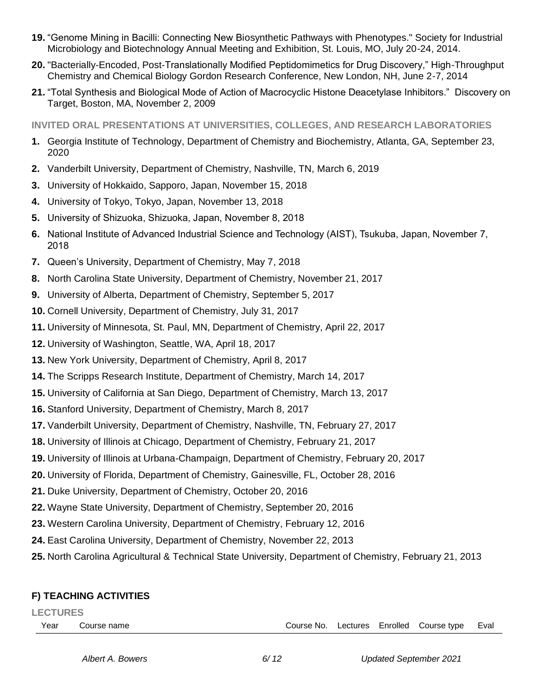- **19.** "Genome Mining in Bacilli: Connecting New Biosynthetic Pathways with Phenotypes." Society for Industrial Microbiology and Biotechnology Annual Meeting and Exhibition, St. Louis, MO, July 20-24, 2014.
- **20.** "Bacterially-Encoded, Post-Translationally Modified Peptidomimetics for Drug Discovery," High-Throughput Chemistry and Chemical Biology Gordon Research Conference, New London, NH, June 2-7, 2014
- **21.** "Total Synthesis and Biological Mode of Action of Macrocyclic Histone Deacetylase Inhibitors." Discovery on Target, Boston, MA, November 2, 2009

**INVITED ORAL PRESENTATIONS AT UNIVERSITIES, COLLEGES, AND RESEARCH LABORATORIES**

- **1.** Georgia Institute of Technology, Department of Chemistry and Biochemistry, Atlanta, GA, September 23, 2020
- **2.** Vanderbilt University, Department of Chemistry, Nashville, TN, March 6, 2019
- **3.** University of Hokkaido, Sapporo, Japan, November 15, 2018
- **4.** University of Tokyo, Tokyo, Japan, November 13, 2018
- **5.** University of Shizuoka, Shizuoka, Japan, November 8, 2018
- **6.** National Institute of Advanced Industrial Science and Technology (AIST), Tsukuba, Japan, November 7, 2018
- **7.** Queen's University, Department of Chemistry, May 7, 2018
- **8.** North Carolina State University, Department of Chemistry, November 21, 2017
- **9.** University of Alberta, Department of Chemistry, September 5, 2017
- **10.** Cornell University, Department of Chemistry, July 31, 2017
- **11.** University of Minnesota, St. Paul, MN, Department of Chemistry, April 22, 2017
- **12.** University of Washington, Seattle, WA, April 18, 2017
- **13.** New York University, Department of Chemistry, April 8, 2017
- **14.** The Scripps Research Institute, Department of Chemistry, March 14, 2017
- **15.** University of California at San Diego, Department of Chemistry, March 13, 2017
- **16.** Stanford University, Department of Chemistry, March 8, 2017
- **17.** Vanderbilt University, Department of Chemistry, Nashville, TN, February 27, 2017
- **18.** University of Illinois at Chicago, Department of Chemistry, February 21, 2017
- **19.** University of Illinois at Urbana-Champaign, Department of Chemistry, February 20, 2017
- **20.** University of Florida, Department of Chemistry, Gainesville, FL, October 28, 2016
- **21.** Duke University, Department of Chemistry, October 20, 2016
- **22.** Wayne State University, Department of Chemistry, September 20, 2016
- **23.** Western Carolina University, Department of Chemistry, February 12, 2016
- **24.** East Carolina University, Department of Chemistry, November 22, 2013
- **25.** North Carolina Agricultural & Technical State University, Department of Chemistry, February 21, 2013

### **F) TEACHING ACTIVITIES**

#### **LECTURES**

Year Course name Course No. Lectures Enrolled Course type Eval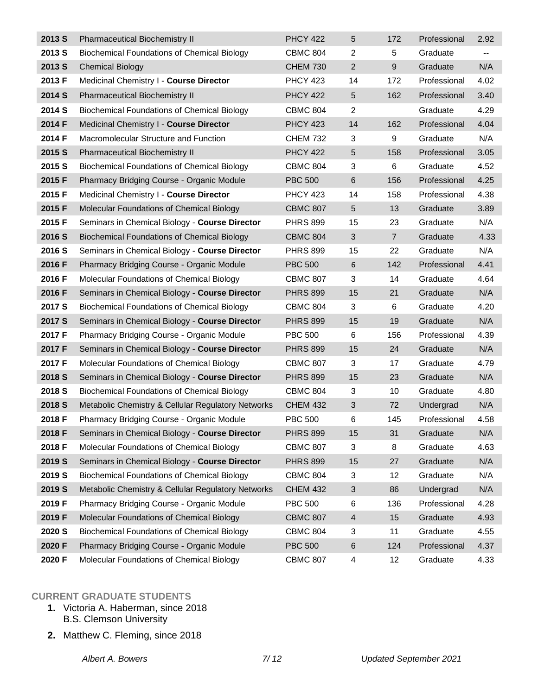| 2013 S            | Pharmaceutical Biochemistry II                     | <b>PHCY 422</b> | 5                         | 172            | Professional | 2.92                     |
|-------------------|----------------------------------------------------|-----------------|---------------------------|----------------|--------------|--------------------------|
| 2013 S            | Biochemical Foundations of Chemical Biology        | <b>CBMC 804</b> | $\overline{c}$            | 5              | Graduate     | $\overline{\phantom{a}}$ |
| 2013 S            | <b>Chemical Biology</b>                            | <b>CHEM 730</b> | $\overline{2}$            | $9$            | Graduate     | N/A                      |
| 2013 F            | Medicinal Chemistry I - Course Director            | <b>PHCY 423</b> | 14                        | 172            | Professional | 4.02                     |
| 2014 S            | <b>Pharmaceutical Biochemistry II</b>              | <b>PHCY 422</b> | $\overline{5}$            | 162            | Professional | 3.40                     |
| 2014 S            | <b>Biochemical Foundations of Chemical Biology</b> | <b>CBMC 804</b> | $\overline{2}$            |                | Graduate     | 4.29                     |
| 2014 F            | Medicinal Chemistry I - Course Director            | <b>PHCY 423</b> | 14                        | 162            | Professional | 4.04                     |
| 2014 F            | Macromolecular Structure and Function              | <b>CHEM 732</b> | 3                         | 9              | Graduate     | N/A                      |
| 2015 S            | <b>Pharmaceutical Biochemistry II</b>              | <b>PHCY 422</b> | $\sqrt{5}$                | 158            | Professional | 3.05                     |
| 2015 S            | <b>Biochemical Foundations of Chemical Biology</b> | <b>CBMC 804</b> | 3                         | 6              | Graduate     | 4.52                     |
| 2015 F            | Pharmacy Bridging Course - Organic Module          | <b>PBC 500</b>  | $\,6$                     | 156            | Professional | 4.25                     |
| 2015 F            | Medicinal Chemistry I - Course Director            | <b>PHCY 423</b> | 14                        | 158            | Professional | 4.38                     |
| 2015 F            | Molecular Foundations of Chemical Biology          | <b>CBMC 807</b> | 5                         | 13             | Graduate     | 3.89                     |
| 2015 F            | Seminars in Chemical Biology - Course Director     | <b>PHRS 899</b> | 15                        | 23             | Graduate     | N/A                      |
| 2016 S            | <b>Biochemical Foundations of Chemical Biology</b> | <b>CBMC 804</b> | 3                         | $\overline{7}$ | Graduate     | 4.33                     |
| 2016 S            | Seminars in Chemical Biology - Course Director     | <b>PHRS 899</b> | 15                        | 22             | Graduate     | N/A                      |
| 2016 F            | Pharmacy Bridging Course - Organic Module          | <b>PBC 500</b>  | 6                         | 142            | Professional | 4.41                     |
| 2016 F            | Molecular Foundations of Chemical Biology          | <b>CBMC 807</b> | 3                         | 14             | Graduate     | 4.64                     |
| 2016 F            | Seminars in Chemical Biology - Course Director     | <b>PHRS 899</b> | 15                        | 21             | Graduate     | N/A                      |
| 2017 <sub>S</sub> | <b>Biochemical Foundations of Chemical Biology</b> | <b>CBMC 804</b> | 3                         | 6              | Graduate     | 4.20                     |
| 2017 <sub>S</sub> | Seminars in Chemical Biology - Course Director     | <b>PHRS 899</b> | 15                        | 19             | Graduate     | N/A                      |
| 2017 F            | Pharmacy Bridging Course - Organic Module          | <b>PBC 500</b>  | 6                         | 156            | Professional | 4.39                     |
| 2017 F            | Seminars in Chemical Biology - Course Director     | <b>PHRS 899</b> | 15                        | 24             | Graduate     | N/A                      |
| 2017 F            | Molecular Foundations of Chemical Biology          | <b>CBMC 807</b> | 3                         | 17             | Graduate     | 4.79                     |
| 2018 S            | Seminars in Chemical Biology - Course Director     | <b>PHRS 899</b> | 15                        | 23             | Graduate     | N/A                      |
| 2018 <sub>S</sub> | <b>Biochemical Foundations of Chemical Biology</b> | <b>CBMC 804</b> | 3                         | 10             | Graduate     | 4.80                     |
| 2018 <sub>S</sub> | Metabolic Chemistry & Cellular Regulatory Networks | <b>CHEM 432</b> | $\mathfrak{S}$            | 72             | Undergrad    | N/A                      |
| 2018 F            | Pharmacy Bridging Course - Organic Module          | <b>PBC 500</b>  | 6                         | 145            | Professional | 4.58                     |
| 2018 F            | Seminars in Chemical Biology - Course Director     | <b>PHRS 899</b> | 15                        | 31             | Graduate     | N/A                      |
| 2018 F            | Molecular Foundations of Chemical Biology          | <b>CBMC 807</b> | 3                         | 8              | Graduate     | 4.63                     |
| 2019 S            | Seminars in Chemical Biology - Course Director     | <b>PHRS 899</b> | 15                        | 27             | Graduate     | N/A                      |
| 2019 S            | <b>Biochemical Foundations of Chemical Biology</b> | <b>CBMC 804</b> | 3                         | 12             | Graduate     | N/A                      |
| 2019 S            | Metabolic Chemistry & Cellular Regulatory Networks | <b>CHEM 432</b> | $\ensuremath{\mathsf{3}}$ | 86             | Undergrad    | N/A                      |
| 2019 F            | Pharmacy Bridging Course - Organic Module          | <b>PBC 500</b>  | 6                         | 136            | Professional | 4.28                     |
| 2019 F            | Molecular Foundations of Chemical Biology          | <b>CBMC 807</b> | $\overline{4}$            | 15             | Graduate     | 4.93                     |
| 2020 S            | <b>Biochemical Foundations of Chemical Biology</b> | <b>CBMC 804</b> | 3                         | 11             | Graduate     | 4.55                     |
| 2020 F            | Pharmacy Bridging Course - Organic Module          | <b>PBC 500</b>  | $\,6$                     | 124            | Professional | 4.37                     |
| 2020 F            | Molecular Foundations of Chemical Biology          | <b>CBMC 807</b> | $\overline{\mathbf{4}}$   | 12             | Graduate     | 4.33                     |

### **CURRENT GRADUATE STUDENTS**

- **1.** Victoria A. Haberman, since 2018 B.S. Clemson University
- **2.** Matthew C. Fleming, since 2018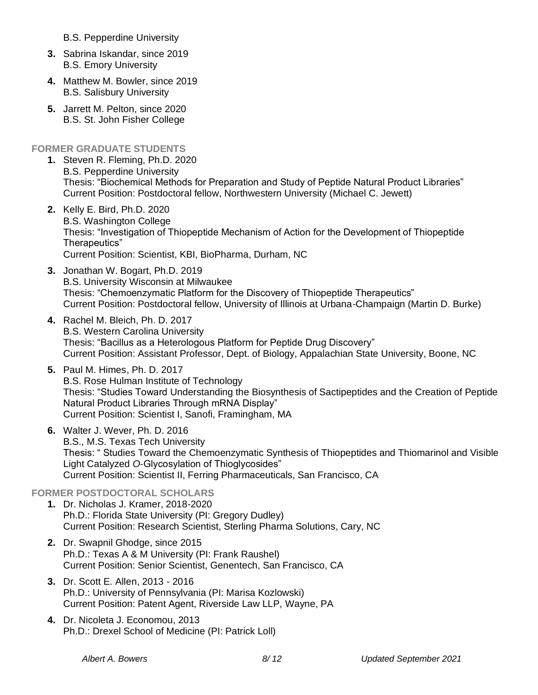B.S. Pepperdine University

- **3.** Sabrina Iskandar, since 2019 B.S. Emory University
- **4.** Matthew M. Bowler, since 2019 B.S. Salisbury University
- **5.** Jarrett M. Pelton, since 2020 B.S. St. John Fisher College

### **FORMER GRADUATE STUDENTS**

- **1.** Steven R. Fleming, Ph.D. 2020 B.S. Pepperdine University Thesis: "Biochemical Methods for Preparation and Study of Peptide Natural Product Libraries" Current Position: Postdoctoral fellow, Northwestern University (Michael C. Jewett)
- **2.** Kelly E. Bird, Ph.D. 2020 B.S. Washington College Thesis: "Investigation of Thiopeptide Mechanism of Action for the Development of Thiopeptide Therapeutics" Current Position: Scientist, KBI, BioPharma, Durham, NC
- **3.** Jonathan W. Bogart, Ph.D. 2019 B.S. University Wisconsin at Milwaukee Thesis: "Chemoenzymatic Platform for the Discovery of Thiopeptide Therapeutics" Current Position: Postdoctoral fellow, University of Illinois at Urbana-Champaign (Martin D. Burke)
- **4.** Rachel M. Bleich, Ph. D. 2017 B.S. Western Carolina University Thesis: "Bacillus as a Heterologous Platform for Peptide Drug Discovery" Current Position: Assistant Professor, Dept. of Biology, Appalachian State University, Boone, NC
- **5.** Paul M. Himes, Ph. D. 2017 B.S. Rose Hulman Institute of Technology Thesis: "Studies Toward Understanding the Biosynthesis of Sactipeptides and the Creation of Peptide Natural Product Libraries Through mRNA Display" Current Position: Scientist I, Sanofi, Framingham, MA
- **6.** Walter J. Wever, Ph. D. 2016 B.S., M.S. Texas Tech University Thesis: " Studies Toward the Chemoenzymatic Synthesis of Thiopeptides and Thiomarinol and Visible Light Catalyzed *O*-Glycosylation of Thioglycosides" Current Position: Scientist II, Ferring Pharmaceuticals, San Francisco, CA

## **FORMER POSTDOCTORAL SCHOLARS**

- **1.** Dr. Nicholas J. Kramer, 2018-2020 Ph.D.: Florida State University (PI: Gregory Dudley) Current Position: Research Scientist, Sterling Pharma Solutions, Cary, NC
- **2.** Dr. Swapnil Ghodge, since 2015 Ph.D.: Texas A & M University (PI: Frank Raushel) Current Position: Senior Scientist, Genentech, San Francisco, CA
- **3.** Dr. Scott E. Allen, 2013 2016 Ph.D.: University of Pennsylvania (PI: Marisa Kozlowski) Current Position: Patent Agent, Riverside Law LLP, Wayne, PA
- **4.** Dr. Nicoleta J. Economou, 2013 Ph.D.: Drexel School of Medicine (PI: Patrick Loll)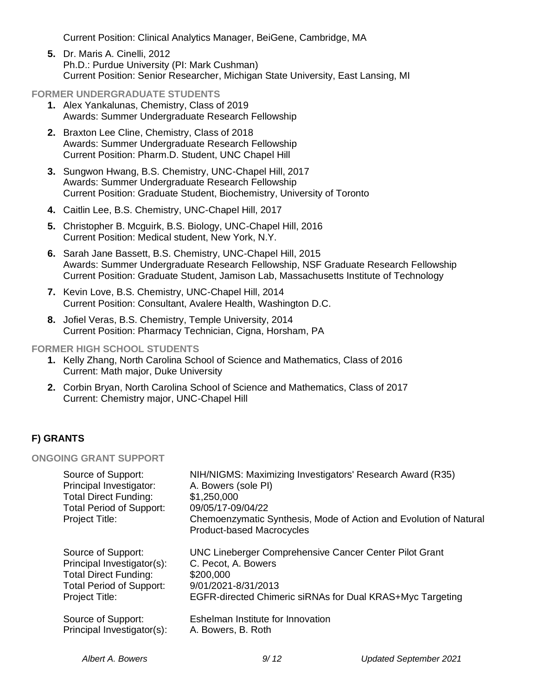Current Position: Clinical Analytics Manager, BeiGene, Cambridge, MA

**5.** Dr. Maris A. Cinelli, 2012 Ph.D.: Purdue University (PI: Mark Cushman) Current Position: Senior Researcher, Michigan State University, East Lansing, MI

### **FORMER UNDERGRADUATE STUDENTS**

- **1.** Alex Yankalunas, Chemistry, Class of 2019 Awards: Summer Undergraduate Research Fellowship
- **2.** Braxton Lee Cline, Chemistry, Class of 2018 Awards: Summer Undergraduate Research Fellowship Current Position: Pharm.D. Student, UNC Chapel Hill
- **3.** Sungwon Hwang, B.S. Chemistry, UNC-Chapel Hill, 2017 Awards: Summer Undergraduate Research Fellowship Current Position: Graduate Student, Biochemistry, University of Toronto
- **4.** Caitlin Lee, B.S. Chemistry, UNC-Chapel Hill, 2017
- **5.** Christopher B. Mcguirk, B.S. Biology, UNC-Chapel Hill, 2016 Current Position: Medical student, New York, N.Y.
- **6.** Sarah Jane Bassett, B.S. Chemistry, UNC-Chapel Hill, 2015 Awards: Summer Undergraduate Research Fellowship, NSF Graduate Research Fellowship Current Position: Graduate Student, Jamison Lab, Massachusetts Institute of Technology
- **7.** Kevin Love, B.S. Chemistry, UNC-Chapel Hill, 2014 Current Position: Consultant, Avalere Health, Washington D.C.
- **8.** Jofiel Veras, B.S. Chemistry, Temple University, 2014 Current Position: Pharmacy Technician, Cigna, Horsham, PA

**FORMER HIGH SCHOOL STUDENTS**

- **1.** Kelly Zhang, North Carolina School of Science and Mathematics, Class of 2016 Current: Math major, Duke University
- **2.** Corbin Bryan, North Carolina School of Science and Mathematics, Class of 2017 Current: Chemistry major, UNC-Chapel Hill

### **F) GRANTS**

#### **ONGOING GRANT SUPPORT**

| Source of Support:<br>Principal Investigator:<br><b>Total Direct Funding:</b><br><b>Total Period of Support:</b><br>Project Title: | NIH/NIGMS: Maximizing Investigators' Research Award (R35)<br>A. Bowers (sole PI)<br>\$1,250,000<br>09/05/17-09/04/22<br>Chemoenzymatic Synthesis, Mode of Action and Evolution of Natural<br><b>Product-based Macrocycles</b> |
|------------------------------------------------------------------------------------------------------------------------------------|-------------------------------------------------------------------------------------------------------------------------------------------------------------------------------------------------------------------------------|
| Source of Support:                                                                                                                 | UNC Lineberger Comprehensive Cancer Center Pilot Grant                                                                                                                                                                        |
| Principal Investigator(s):                                                                                                         | C. Pecot, A. Bowers                                                                                                                                                                                                           |
| <b>Total Direct Funding:</b>                                                                                                       | \$200,000                                                                                                                                                                                                                     |
| <b>Total Period of Support:</b>                                                                                                    | 9/01/2021-8/31/2013                                                                                                                                                                                                           |
| <b>Project Title:</b>                                                                                                              | EGFR-directed Chimeric siRNAs for Dual KRAS+Myc Targeting                                                                                                                                                                     |
| Source of Support:                                                                                                                 | Eshelman Institute for Innovation                                                                                                                                                                                             |
| Principal Investigator(s):                                                                                                         | A. Bowers, B. Roth                                                                                                                                                                                                            |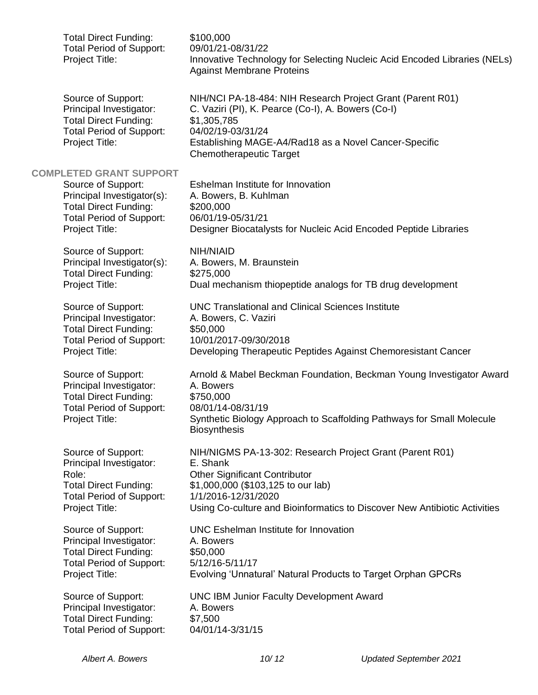| <b>Total Direct Funding:</b><br><b>Total Period of Support:</b><br>Project Title:                                                                                       | \$100,000<br>09/01/21-08/31/22<br>Innovative Technology for Selecting Nucleic Acid Encoded Libraries (NELs)<br><b>Against Membrane Proteins</b>                                                                                                        |
|-------------------------------------------------------------------------------------------------------------------------------------------------------------------------|--------------------------------------------------------------------------------------------------------------------------------------------------------------------------------------------------------------------------------------------------------|
| Source of Support:<br>Principal Investigator:<br><b>Total Direct Funding:</b><br><b>Total Period of Support:</b><br>Project Title:                                      | NIH/NCI PA-18-484: NIH Research Project Grant (Parent R01)<br>C. Vaziri (PI), K. Pearce (Co-I), A. Bowers (Co-I)<br>\$1,305,785<br>04/02/19-03/31/24<br>Establishing MAGE-A4/Rad18 as a Novel Cancer-Specific<br><b>Chemotherapeutic Target</b>        |
| <b>COMPLETED GRANT SUPPORT</b><br>Source of Support:<br>Principal Investigator(s):<br><b>Total Direct Funding:</b><br><b>Total Period of Support:</b><br>Project Title: | Eshelman Institute for Innovation<br>A. Bowers, B. Kuhlman<br>\$200,000<br>06/01/19-05/31/21<br>Designer Biocatalysts for Nucleic Acid Encoded Peptide Libraries                                                                                       |
| Source of Support:<br>Principal Investigator(s):<br><b>Total Direct Funding:</b><br>Project Title:                                                                      | NIH/NIAID<br>A. Bowers, M. Braunstein<br>\$275,000<br>Dual mechanism thiopeptide analogs for TB drug development                                                                                                                                       |
| Source of Support:<br>Principal Investigator:<br><b>Total Direct Funding:</b><br><b>Total Period of Support:</b><br>Project Title:                                      | <b>UNC Translational and Clinical Sciences Institute</b><br>A. Bowers, C. Vaziri<br>\$50,000<br>10/01/2017-09/30/2018<br>Developing Therapeutic Peptides Against Chemoresistant Cancer                                                                 |
| Source of Support:<br>Principal Investigator:<br><b>Total Direct Funding:</b><br><b>Total Period of Support:</b><br>Project Title:                                      | Arnold & Mabel Beckman Foundation, Beckman Young Investigator Award<br>A. Bowers<br>\$750,000<br>08/01/14-08/31/19<br>Synthetic Biology Approach to Scaffolding Pathways for Small Molecule<br><b>Biosynthesis</b>                                     |
| Source of Support:<br>Principal Investigator:<br>Role:<br><b>Total Direct Funding:</b><br><b>Total Period of Support:</b><br>Project Title:                             | NIH/NIGMS PA-13-302: Research Project Grant (Parent R01)<br>E. Shank<br><b>Other Significant Contributor</b><br>\$1,000,000 (\$103,125 to our lab)<br>1/1/2016-12/31/2020<br>Using Co-culture and Bioinformatics to Discover New Antibiotic Activities |
| Source of Support:<br>Principal Investigator:<br><b>Total Direct Funding:</b><br><b>Total Period of Support:</b><br>Project Title:                                      | <b>UNC Eshelman Institute for Innovation</b><br>A. Bowers<br>\$50,000<br>5/12/16-5/11/17<br>Evolving 'Unnatural' Natural Products to Target Orphan GPCRs                                                                                               |
| Source of Support:<br>Principal Investigator:<br><b>Total Direct Funding:</b><br><b>Total Period of Support:</b>                                                        | <b>UNC IBM Junior Faculty Development Award</b><br>A. Bowers<br>\$7,500<br>04/01/14-3/31/15                                                                                                                                                            |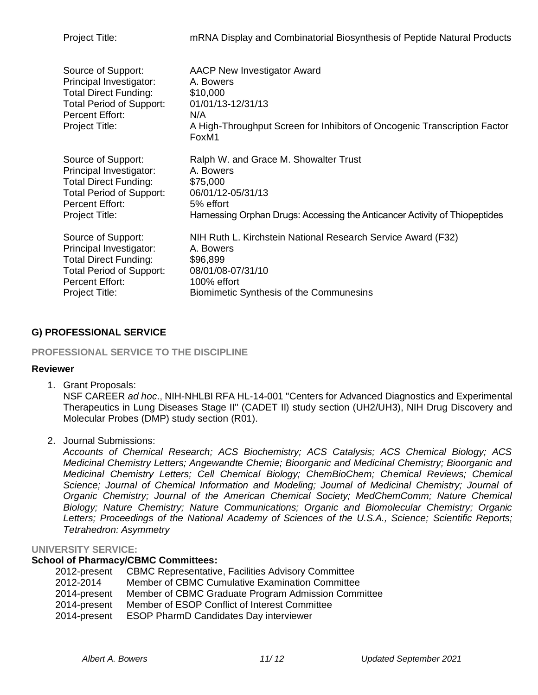| Project Title:                                                                                                                                               | mRNA Display and Combinatorial Biosynthesis of Peptide Natural Products                                                                                                       |
|--------------------------------------------------------------------------------------------------------------------------------------------------------------|-------------------------------------------------------------------------------------------------------------------------------------------------------------------------------|
| Source of Support:<br>Principal Investigator:<br><b>Total Direct Funding:</b><br><b>Total Period of Support:</b><br><b>Percent Effort:</b><br>Project Title: | <b>AACP New Investigator Award</b><br>A. Bowers<br>\$10,000<br>01/01/13-12/31/13<br>N/A<br>A High-Throughput Screen for Inhibitors of Oncogenic Transcription Factor<br>FoxM1 |
| Source of Support:                                                                                                                                           | Ralph W. and Grace M. Showalter Trust                                                                                                                                         |
| Principal Investigator:                                                                                                                                      | A. Bowers                                                                                                                                                                     |
| <b>Total Direct Funding:</b>                                                                                                                                 | \$75,000                                                                                                                                                                      |
| <b>Total Period of Support:</b>                                                                                                                              | 06/01/12-05/31/13                                                                                                                                                             |
| <b>Percent Effort:</b>                                                                                                                                       | 5% effort                                                                                                                                                                     |
| Project Title:                                                                                                                                               | Harnessing Orphan Drugs: Accessing the Anticancer Activity of Thiopeptides                                                                                                    |
| Source of Support:                                                                                                                                           | NIH Ruth L. Kirchstein National Research Service Award (F32)                                                                                                                  |
| Principal Investigator:                                                                                                                                      | A. Bowers                                                                                                                                                                     |
| <b>Total Direct Funding:</b>                                                                                                                                 | \$96,899                                                                                                                                                                      |
| <b>Total Period of Support:</b>                                                                                                                              | 08/01/08-07/31/10                                                                                                                                                             |
| <b>Percent Effort:</b>                                                                                                                                       | 100% effort                                                                                                                                                                   |
| Project Title:                                                                                                                                               | Biomimetic Synthesis of the Communesins                                                                                                                                       |

### **G) PROFESSIONAL SERVICE**

### **PROFESSIONAL SERVICE TO THE DISCIPLINE**

#### **Reviewer**

1. Grant Proposals:

NSF CAREER *ad hoc*., NIH-NHLBI RFA HL-14-001 "Centers for Advanced Diagnostics and Experimental Therapeutics in Lung Diseases Stage II" (CADET II) study section (UH2/UH3), NIH Drug Discovery and Molecular Probes (DMP) study section (R01).

2. Journal Submissions:

*Accounts of Chemical Research; ACS Biochemistry; ACS Catalysis; ACS Chemical Biology; ACS Medicinal Chemistry Letters; Angewandte Chemie; Bioorganic and Medicinal Chemistry; Bioorganic and Medicinal Chemistry Letters; Cell Chemical Biology; ChemBioChem; Chemical Reviews; Chemical Science; Journal of Chemical Information and Modeling; Journal of Medicinal Chemistry; Journal of Organic Chemistry; Journal of the American Chemical Society; MedChemComm; Nature Chemical Biology; Nature Chemistry; Nature Communications; Organic and Biomolecular Chemistry; Organic Letters; Proceedings of the National Academy of Sciences of the U.S.A., Science; Scientific Reports; Tetrahedron: Asymmetry*

#### **UNIVERSITY SERVICE:**

### **School of Pharmacy/CBMC Committees:**

| 2012-present | <b>CBMC Representative, Facilities Advisory Committee</b> |
|--------------|-----------------------------------------------------------|
| 2012-2014    | Member of CBMC Cumulative Examination Committee           |
| 2014-present | Member of CBMC Graduate Program Admission Committee       |
| 2014-present | Member of ESOP Conflict of Interest Committee             |
| 2014-present | <b>ESOP PharmD Candidates Day interviewer</b>             |